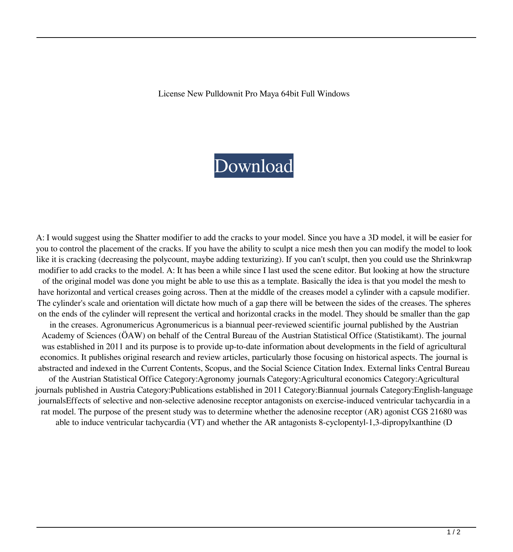License New Pulldownit Pro Maya 64bit Full Windows

## [Download](http://evacdir.com/?canopied=TmV3IFB1bGxkb3duaXQgUHJvIE1heWEgQ3JhY2sTmV&nourisher=ZG93bmxvYWR8RzJIT1hreWZId3hOalV5TnpRd09EWTJmSHd5TlRjMGZId29UU2tnY21WaFpDMWliRzluSUZ0R1lYTjBJRWRGVGww/ferry.aifare)

A: I would suggest using the Shatter modifier to add the cracks to your model. Since you have a 3D model, it will be easier for you to control the placement of the cracks. If you have the ability to sculpt a nice mesh then you can modify the model to look like it is cracking (decreasing the polycount, maybe adding texturizing). If you can't sculpt, then you could use the Shrinkwrap modifier to add cracks to the model. A: It has been a while since I last used the scene editor. But looking at how the structure of the original model was done you might be able to use this as a template. Basically the idea is that you model the mesh to have horizontal and vertical creases going across. Then at the middle of the creases model a cylinder with a capsule modifier. The cylinder's scale and orientation will dictate how much of a gap there will be between the sides of the creases. The spheres on the ends of the cylinder will represent the vertical and horizontal cracks in the model. They should be smaller than the gap in the creases. Agronumericus Agronumericus is a biannual peer-reviewed scientific journal published by the Austrian Academy of Sciences (ÖAW) on behalf of the Central Bureau of the Austrian Statistical Office (Statistikamt). The journal was established in 2011 and its purpose is to provide up-to-date information about developments in the field of agricultural economics. It publishes original research and review articles, particularly those focusing on historical aspects. The journal is abstracted and indexed in the Current Contents, Scopus, and the Social Science Citation Index. External links Central Bureau of the Austrian Statistical Office Category:Agronomy journals Category:Agricultural economics Category:Agricultural journals published in Austria Category:Publications established in 2011 Category:Biannual journals Category:English-language journalsEffects of selective and non-selective adenosine receptor antagonists on exercise-induced ventricular tachycardia in a rat model. The purpose of the present study was to determine whether the adenosine receptor (AR) agonist CGS 21680 was able to induce ventricular tachycardia (VT) and whether the AR antagonists 8-cyclopentyl-1,3-dipropylxanthine (D